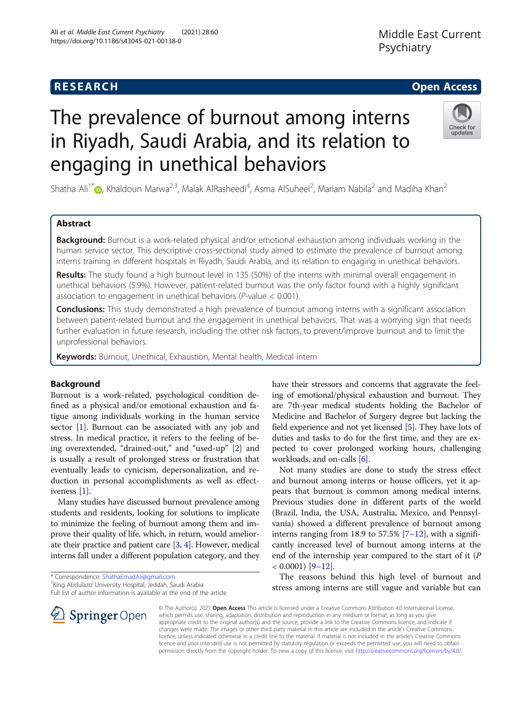# **RESEARCH CHE Open Access**

# The prevalence of burnout among interns in Riyadh, Saudi Arabia, and its relation to engaging in unethical behaviors



Shatha Ali<sup>1[\\*](http://orcid.org/0000-0002-2601-1686)</sup> $\bm{\odot}$ , Khaldoun Marwa<sup>2,3</sup>, Malak AlRasheedi<sup>4</sup>, Asma AlSuheel<sup>2</sup>, Mariam Nabila<sup>2</sup> and Madiha Khan<sup>2</sup>

# Abstract

**Background:** Burnout is a work-related physical and/or emotional exhaustion among individuals working in the human service sector. This descriptive cross-sectional study aimed to estimate the prevalence of burnout among interns training in different hospitals in Riyadh, Saudi Arabia, and its relation to engaging in unethical behaviors.

Results: The study found a high burnout level in 135 (50%) of the interns with minimal overall engagement in unethical behaviors (5.9%). However, patient-related burnout was the only factor found with a highly significant association to engagement in unethical behaviors (P-value < 0.001).

**Conclusions:** This study demonstrated a high prevalence of burnout among interns with a significant association between patient-related burnout and the engagement in unethical behaviors. That was a worrying sign that needs further evaluation in future research, including the other risk factors, to prevent/improve burnout and to limit the unprofessional behaviors.

Keywords: Burnout, Unethical, Exhaustion, Mental health, Medical intern

# Background

Burnout is a work-related, psychological condition defined as a physical and/or emotional exhaustion and fatigue among individuals working in the human service sector [[1](#page-7-0)]. Burnout can be associated with any job and stress. In medical practice, it refers to the feeling of being overextended, "drained-out," and "used-up" [\[2](#page-7-0)] and is usually a result of prolonged stress or frustration that eventually leads to cynicism, depersonalization, and reduction in personal accomplishments as well as effectiveness [[1\]](#page-7-0).

Many studies have discussed burnout prevalence among students and residents, looking for solutions to implicate to minimize the feeling of burnout among them and improve their quality of life, which, in return, would ameliorate their practice and patient care [[3](#page-7-0), [4\]](#page-7-0). However, medical interns fall under a different population category, and they

 $\mathscr{L}$  Springer Open

<sup>1</sup> King Abdulaziz University Hospital, Jeddah, Saudi Arabia

Full list of author information is available at the end of the article



Not many studies are done to study the stress effect and burnout among interns or house officers, yet it appears that burnout is common among medical interns. Previous studies done in different parts of the world (Brazil, India, the USA, Australia, Mexico, and Pennsylvania) showed a different prevalence of burnout among interns ranging from 18.9 to 57.5%  $[7-12]$  $[7-12]$  $[7-12]$  $[7-12]$ , with a significantly increased level of burnout among interns at the end of the internship year compared to the start of it (P  $< 0.0001$ ) [[9](#page-7-0)-[12\]](#page-7-0).

The reasons behind this high level of burnout and stress among interns are still vague and variable but can

© The Author(s). 2021 Open Access This article is licensed under a Creative Commons Attribution 4.0 International License, which permits use, sharing, adaptation, distribution and reproduction in any medium or format, as long as you give appropriate credit to the original author(s) and the source, provide a link to the Creative Commons licence, and indicate if changes were made. The images or other third party material in this article are included in the article's Creative Commons licence, unless indicated otherwise in a credit line to the material. If material is not included in the article's Creative Commons licence and your intended use is not permitted by statutory regulation or exceeds the permitted use, you will need to obtain permission directly from the copyright holder. To view a copy of this licence, visit <http://creativecommons.org/licenses/by/4.0/>.

<sup>\*</sup> Correspondence: [ShathaEmadAli@gmail.com](mailto:ShathaEmadAli@gmail.com) <sup>1</sup>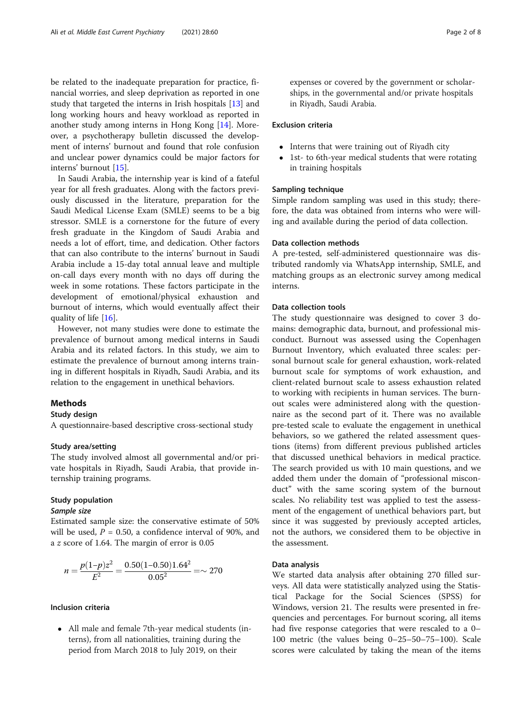be related to the inadequate preparation for practice, financial worries, and sleep deprivation as reported in one study that targeted the interns in Irish hospitals [\[13](#page-7-0)] and long working hours and heavy workload as reported in another study among interns in Hong Kong [\[14\]](#page-7-0). Moreover, a psychotherapy bulletin discussed the development of interns' burnout and found that role confusion and unclear power dynamics could be major factors for interns' burnout [\[15](#page-7-0)].

In Saudi Arabia, the internship year is kind of a fateful year for all fresh graduates. Along with the factors previously discussed in the literature, preparation for the Saudi Medical License Exam (SMLE) seems to be a big stressor. SMLE is a cornerstone for the future of every fresh graduate in the Kingdom of Saudi Arabia and needs a lot of effort, time, and dedication. Other factors that can also contribute to the interns' burnout in Saudi Arabia include a 15-day total annual leave and multiple on-call days every month with no days off during the week in some rotations. These factors participate in the development of emotional/physical exhaustion and burnout of interns, which would eventually affect their quality of life [[16](#page-7-0)].

However, not many studies were done to estimate the prevalence of burnout among medical interns in Saudi Arabia and its related factors. In this study, we aim to estimate the prevalence of burnout among interns training in different hospitals in Riyadh, Saudi Arabia, and its relation to the engagement in unethical behaviors.

# **Methods**

#### Study design

A questionnaire-based descriptive cross-sectional study

#### Study area/setting

The study involved almost all governmental and/or private hospitals in Riyadh, Saudi Arabia, that provide internship training programs.

# Study population

# Sample size

Estimated sample size: the conservative estimate of 50% will be used,  $P = 0.50$ , a confidence interval of 90%, and a z score of 1.64. The margin of error is 0.05

$$
n = \frac{p(1-p)z^2}{E^2} = \frac{0.50(1-0.50)1.64^2}{0.05^2} = \sim 270
$$

# Inclusion criteria

 All male and female 7th-year medical students (interns), from all nationalities, training during the period from March 2018 to July 2019, on their

expenses or covered by the government or scholarships, in the governmental and/or private hospitals in Riyadh, Saudi Arabia.

# Exclusion criteria

- Interns that were training out of Riyadh city
- 1st- to 6th-year medical students that were rotating in training hospitals

#### Sampling technique

Simple random sampling was used in this study; therefore, the data was obtained from interns who were willing and available during the period of data collection.

# Data collection methods

A pre-tested, self-administered questionnaire was distributed randomly via WhatsApp internship, SMLE, and matching groups as an electronic survey among medical interns.

# Data collection tools

The study questionnaire was designed to cover 3 domains: demographic data, burnout, and professional misconduct. Burnout was assessed using the Copenhagen Burnout Inventory, which evaluated three scales: personal burnout scale for general exhaustion, work-related burnout scale for symptoms of work exhaustion, and client-related burnout scale to assess exhaustion related to working with recipients in human services. The burnout scales were administered along with the questionnaire as the second part of it. There was no available pre-tested scale to evaluate the engagement in unethical behaviors, so we gathered the related assessment questions (items) from different previous published articles that discussed unethical behaviors in medical practice. The search provided us with 10 main questions, and we added them under the domain of "professional misconduct" with the same scoring system of the burnout scales. No reliability test was applied to test the assessment of the engagement of unethical behaviors part, but since it was suggested by previously accepted articles, not the authors, we considered them to be objective in the assessment.

## Data analysis

We started data analysis after obtaining 270 filled surveys. All data were statistically analyzed using the Statistical Package for the Social Sciences (SPSS) for Windows, version 21. The results were presented in frequencies and percentages. For burnout scoring, all items had five response categories that were rescaled to a 0– 100 metric (the values being 0–25–50–75–100). Scale scores were calculated by taking the mean of the items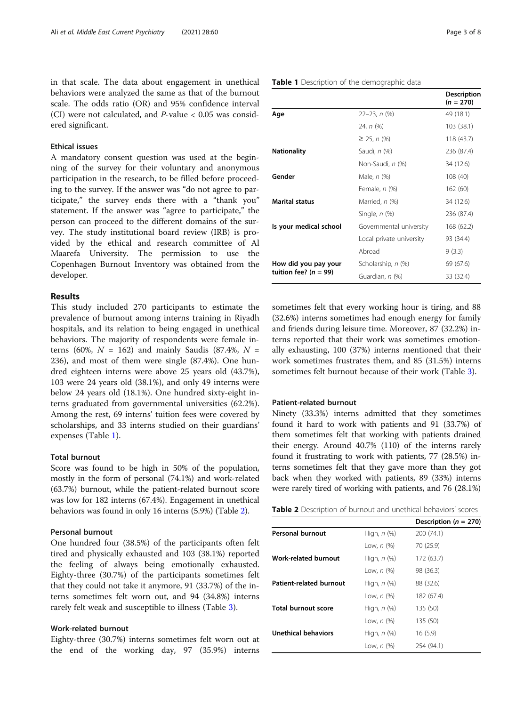in that scale. The data about engagement in unethical behaviors were analyzed the same as that of the burnout scale. The odds ratio (OR) and 95% confidence interval (CI) were not calculated, and  $P$ -value  $< 0.05$  was considered significant.

# Ethical issues

A mandatory consent question was used at the beginning of the survey for their voluntary and anonymous participation in the research, to be filled before proceeding to the survey. If the answer was "do not agree to participate," the survey ends there with a "thank you" statement. If the answer was "agree to participate," the person can proceed to the different domains of the survey. The study institutional board review (IRB) is provided by the ethical and research committee of Al Maarefa University. The permission to use the Copenhagen Burnout Inventory was obtained from the developer.

## Results

This study included 270 participants to estimate the prevalence of burnout among interns training in Riyadh hospitals, and its relation to being engaged in unethical behaviors. The majority of respondents were female interns (60%,  $N = 162$ ) and mainly Saudis (87.4%,  $N =$ 236), and most of them were single (87.4%). One hundred eighteen interns were above 25 years old (43.7%), 103 were 24 years old (38.1%), and only 49 interns were below 24 years old (18.1%). One hundred sixty-eight interns graduated from governmental universities (62.2%). Among the rest, 69 interns' tuition fees were covered by scholarships, and 33 interns studied on their guardians' expenses (Table 1).

# Total burnout

Score was found to be high in 50% of the population, mostly in the form of personal (74.1%) and work-related (63.7%) burnout, while the patient-related burnout score was low for 182 interns (67.4%). Engagement in unethical behaviors was found in only 16 interns (5.9%) (Table 2).

# Personal burnout

One hundred four (38.5%) of the participants often felt tired and physically exhausted and 103 (38.1%) reported the feeling of always being emotionally exhausted. Eighty-three (30.7%) of the participants sometimes felt that they could not take it anymore, 91 (33.7%) of the interns sometimes felt worn out, and 94 (34.8%) interns rarely felt weak and susceptible to illness (Table [3](#page-3-0)).

# Work-related burnout

Eighty-three (30.7%) interns sometimes felt worn out at the end of the working day, 97 (35.9%) interns

| Page 3 of |
|-----------|
|-----------|

# Table 1 Description of the demographic data

|                           |                          | <b>Description</b><br>$(n = 270)$ |
|---------------------------|--------------------------|-----------------------------------|
| Age                       | $22 - 23$ , n $(\%)$     | 49 (18.1)                         |
|                           | 24, n (%)                | 103(38.1)                         |
|                           | $\geq$ 25, n (%)         | 118 (43.7)                        |
| <b>Nationality</b>        | Saudi, n (%)             | 236 (87.4)                        |
|                           | Non-Saudi, <i>n</i> (%)  | 34 (12.6)                         |
| Gender                    | Male, n (%)              | 108 (40)                          |
|                           | Female, n (%)            | 162(60)                           |
| <b>Marital status</b>     | Married, n (%)           | 34 (12.6)                         |
|                           | Single, $n$ $(\%)$       | 236 (87.4)                        |
| Is your medical school    | Governmental university  | 168 (62.2)                        |
|                           | Local private university | 93 (34.4)                         |
|                           | Abroad                   | 9(3.3)                            |
| How did you pay your      | Scholarship, n (%)       | 69 (67.6)                         |
| tuition fee? ( $n = 99$ ) | Guardian, n (%)          | 33 (32.4)                         |

sometimes felt that every working hour is tiring, and 88 (32.6%) interns sometimes had enough energy for family and friends during leisure time. Moreover, 87 (32.2%) interns reported that their work was sometimes emotionally exhausting, 100 (37%) interns mentioned that their work sometimes frustrates them, and 85 (31.5%) interns sometimes felt burnout because of their work (Table [3](#page-3-0)).

#### Patient-related burnout

Ninety (33.3%) interns admitted that they sometimes found it hard to work with patients and 91 (33.7%) of them sometimes felt that working with patients drained their energy. Around 40.7% (110) of the interns rarely found it frustrating to work with patients, 77 (28.5%) interns sometimes felt that they gave more than they got back when they worked with patients, 89 (33%) interns were rarely tired of working with patients, and 76 (28.1%)

| Table 2 Description of burnout and unethical behaviors' scores |  |
|----------------------------------------------------------------|--|
|----------------------------------------------------------------|--|

|                            |                   | Description ( $n = 270$ ) |
|----------------------------|-------------------|---------------------------|
| <b>Personal burnout</b>    | High, $n$ $(\%)$  | 200 (74.1)                |
|                            | Low, $n$ $(\%)$   | 70 (25.9)                 |
| Work-related burnout       | High, $n$ $(\%)$  | 172 (63.7)                |
|                            | Low, $n$ $(\%)$   | 98 (36.3)                 |
| Patient-related burnout    | High, $n$ $(\%)$  | 88 (32.6)                 |
|                            | Low, $n$ $(\%)$   | 182 (67.4)                |
| <b>Total burnout score</b> | High, $n$ $(\%)$  | 135 (50)                  |
|                            | Low, $n$ $(\%)$   | 135 (50)                  |
| Unethical behaviors        | High, $n$ $(\%)$  | 16(5.9)                   |
|                            | Low. <i>n</i> (%) | 254 (94.1)                |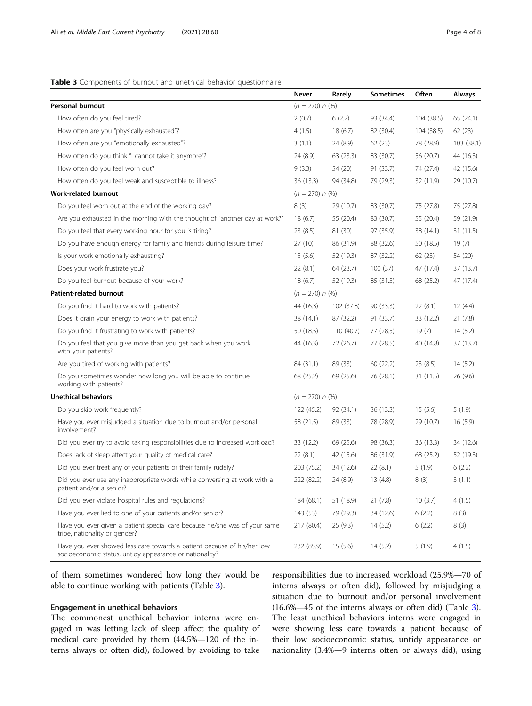# <span id="page-3-0"></span>Table 3 Components of burnout and unethical behavior questionnaire

|                                                                                                                                    | <b>Never</b>      | Rarely     | Sometimes | Often      | Always     |
|------------------------------------------------------------------------------------------------------------------------------------|-------------------|------------|-----------|------------|------------|
| <b>Personal burnout</b>                                                                                                            | $(n = 270) n$ (%) |            |           |            |            |
| How often do you feel tired?                                                                                                       | 2(0.7)            | 6(2.2)     | 93 (34.4) | 104 (38.5) | 65 (24.1)  |
| How often are you "physically exhausted"?                                                                                          | 4(1.5)            | 18(6.7)    | 82 (30.4) | 104 (38.5) | 62 (23)    |
| How often are you "emotionally exhausted"?                                                                                         | 3(1.1)            | 24 (8.9)   | 62(23)    | 78 (28.9)  | 103 (38.1) |
| How often do you think "I cannot take it anymore"?                                                                                 | 24 (8.9)          | 63 (23.3)  | 83 (30.7) | 56 (20.7)  | 44 (16.3)  |
| How often do you feel worn out?                                                                                                    | 9(3.3)            | 54 (20)    | 91 (33.7) | 74 (27.4)  | 42 (15.6)  |
| How often do you feel weak and susceptible to illness?                                                                             | 36 (13.3)         | 94 (34.8)  | 79 (29.3) | 32 (11.9)  | 29 (10.7)  |
| <b>Work-related burnout</b>                                                                                                        | $(n = 270) n$ (%) |            |           |            |            |
| Do you feel worn out at the end of the working day?                                                                                | 8(3)              | 29 (10.7)  | 83 (30.7) | 75 (27.8)  | 75 (27.8)  |
| Are you exhausted in the morning with the thought of "another day at work?"                                                        | 18(6.7)           | 55 (20.4)  | 83 (30.7) | 55 (20.4)  | 59 (21.9)  |
| Do you feel that every working hour for you is tiring?                                                                             | 23(8.5)           | 81 (30)    | 97 (35.9) | 38 (14.1)  | 31 (11.5)  |
| Do you have enough energy for family and friends during leisure time?                                                              | 27 (10)           | 86 (31.9)  | 88 (32.6) | 50 (18.5)  | 19(7)      |
| Is your work emotionally exhausting?                                                                                               | 15(5.6)           | 52 (19.3)  | 87 (32.2) | 62(23)     | 54 (20)    |
| Does your work frustrate you?                                                                                                      | 22(8.1)           | 64 (23.7)  | 100(37)   | 47 (17.4)  | 37 (13.7)  |
| Do you feel burnout because of your work?                                                                                          | 18(6.7)           | 52 (19.3)  | 85 (31.5) | 68 (25.2)  | 47 (17.4)  |
| <b>Patient-related burnout</b>                                                                                                     | $(n = 270) n$ (%) |            |           |            |            |
| Do you find it hard to work with patients?                                                                                         | 44 (16.3)         | 102 (37.8) | 90 (33.3) | 22(8.1)    | 12(4.4)    |
| Does it drain your energy to work with patients?                                                                                   | 38 (14.1)         | 87 (32.2)  | 91 (33.7) | 33 (12.2)  | 21(7.8)    |
| Do you find it frustrating to work with patients?                                                                                  | 50 (18.5)         | 110 (40.7) | 77 (28.5) | 19(7)      | 14(5.2)    |
| Do you feel that you give more than you get back when you work<br>with your patients?                                              | 44 (16.3)         | 72 (26.7)  | 77 (28.5) | 40 (14.8)  | 37 (13.7)  |
| Are you tired of working with patients?                                                                                            | 84 (31.1)         | 89 (33)    | 60 (22.2) | 23(8.5)    | 14(5.2)    |
| Do you sometimes wonder how long you will be able to continue<br>working with patients?                                            | 68 (25.2)         | 69 (25.6)  | 76 (28.1) | 31 (11.5)  | 26 (9.6)   |
| <b>Unethical behaviors</b>                                                                                                         | $(n = 270) n$ (%) |            |           |            |            |
| Do you skip work frequently?                                                                                                       | 122 (45.2)        | 92 (34.1)  | 36 (13.3) | 15(5.6)    | 5(1.9)     |
| Have you ever misjudged a situation due to burnout and/or personal<br>involvement?                                                 | 58 (21.5)         | 89 (33)    | 78 (28.9) | 29 (10.7)  | 16(5.9)    |
| Did you ever try to avoid taking responsibilities due to increased workload?                                                       | 33 (12.2)         | 69 (25.6)  | 98 (36.3) | 36 (13.3)  | 34 (12.6)  |
| Does lack of sleep affect your quality of medical care?                                                                            | 22(8.1)           | 42 (15.6)  | 86 (31.9) | 68 (25.2)  | 52 (19.3)  |
| Did you ever treat any of your patients or their family rudely?                                                                    | 203 (75.2)        | 34 (12.6)  | 22(8.1)   | 5(1.9)     | 6(2.2)     |
| Did you ever use any inappropriate words while conversing at work with a<br>patient and/or a senior?                               | 222 (82.2)        | 24 (8.9)   | 13 (4.8)  | 8(3)       | 3(1.1)     |
| Did you ever violate hospital rules and regulations?                                                                               | 184 (68.1)        | 51 (18.9)  | 21(7.8)   | 10(3.7)    | 4(1.5)     |
| Have you ever lied to one of your patients and/or senior?                                                                          | 143 (53)          | 79 (29.3)  | 34 (12.6) | 6(2.2)     | 8(3)       |
| Have you ever given a patient special care because he/she was of your same<br>tribe, nationality or gender?                        | 217 (80.4)        | 25(9.3)    | 14(5.2)   | 6(2.2)     | 8(3)       |
| Have you ever showed less care towards a patient because of his/her low<br>socioeconomic status, untidy appearance or nationality? | 232 (85.9)        | 15(5.6)    | 14(5.2)   | 5(1.9)     | 4(1.5)     |

of them sometimes wondered how long they would be able to continue working with patients (Table 3).

# Engagement in unethical behaviors

The commonest unethical behavior interns were engaged in was letting lack of sleep affect the quality of medical care provided by them (44.5%—120 of the interns always or often did), followed by avoiding to take

responsibilities due to increased workload (25.9%—70 of interns always or often did), followed by misjudging a situation due to burnout and/or personal involvement (16.6%—45 of the interns always or often did) (Table 3). The least unethical behaviors interns were engaged in were showing less care towards a patient because of their low socioeconomic status, untidy appearance or nationality (3.4%—9 interns often or always did), using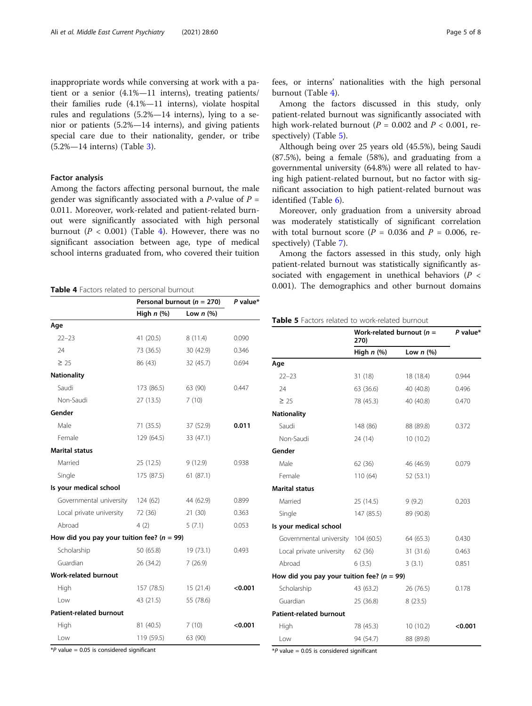inappropriate words while conversing at work with a patient or a senior (4.1%—11 interns), treating patients/ their families rude (4.1%—11 interns), violate hospital rules and regulations (5.2%—14 interns), lying to a senior or patients (5.2%—14 interns), and giving patients special care due to their nationality, gender, or tribe (5.2%—14 interns) (Table [3](#page-3-0)).

#### Factor analysis

Among the factors affecting personal burnout, the male gender was significantly associated with a *P*-value of  $P =$ 0.011. Moreover, work-related and patient-related burnout were significantly associated with high personal burnout ( $P < 0.001$ ) (Table 4). However, there was no significant association between age, type of medical school interns graduated from, who covered their tuition

|                                                | Personal burnout ( $n = 270$ ) |             | P value* |
|------------------------------------------------|--------------------------------|-------------|----------|
|                                                | High $n$ (%)                   | Low $n$ (%) |          |
| Age                                            |                                |             |          |
| $22 - 23$                                      | 41 (20.5)                      | 8(11.4)     | 0.090    |
| 24                                             | 73 (36.5)                      | 30 (42.9)   | 0.346    |
| $\geq 25$                                      | 86 (43)                        | 32 (45.7)   | 0.694    |
| <b>Nationality</b>                             |                                |             |          |
| Saudi                                          | 173 (86.5)                     | 63 (90)     | 0.447    |
| Non-Saudi                                      | 27 (13.5)                      | 7(10)       |          |
| Gender                                         |                                |             |          |
| Male                                           | 71(35.5)                       | 37 (52.9)   | 0.011    |
| Female                                         | 129 (64.5)                     | 33 (47.1)   |          |
| <b>Marital status</b>                          |                                |             |          |
| Married                                        | 25(12.5)                       | 9(12.9)     | 0.938    |
| Single                                         | 175 (87.5)                     | 61(87.1)    |          |
| Is your medical school                         |                                |             |          |
| Governmental university                        | 124(62)                        | 44 (62.9)   | 0.899    |
| Local private university                       | 72 (36)                        | 21(30)      | 0.363    |
| Abroad                                         | 4(2)                           | 5(7.1)      | 0.053    |
| How did you pay your tuition fee? ( $n = 99$ ) |                                |             |          |
| Scholarship                                    | 50 (65.8)                      | 19 (73.1)   | 0.493    |
| Guardian                                       | 26 (34.2)                      | 7(26.9)     |          |
| <b>Work-related burnout</b>                    |                                |             |          |
| High                                           | 157 (78.5)                     | 15(21.4)    | < 0.001  |
| Low                                            | 43 (21.5)                      | 55 (78.6)   |          |
| Patient-related burnout                        |                                |             |          |
| High                                           | 81 (40.5)                      | 7(10)       | < 0.001  |
| Low                                            | 119 (59.5)                     | 63 (90)     |          |

fees, or interns' nationalities with the high personal burnout (Table 4).

Among the factors discussed in this study, only patient-related burnout was significantly associated with high work-related burnout ( $P = 0.002$  and  $P < 0.001$ , respectively) (Table 5).

Although being over 25 years old (45.5%), being Saudi (87.5%), being a female (58%), and graduating from a governmental university (64.8%) were all related to having high patient-related burnout, but no factor with significant association to high patient-related burnout was identified (Table [6](#page-5-0)).

Moreover, only graduation from a university abroad was moderately statistically of significant correlation with total burnout score ( $P = 0.036$  and  $P = 0.006$ , respectively) (Table [7](#page-6-0)).

Among the factors assessed in this study, only high patient-related burnout was statistically significantly associated with engagement in unethical behaviors ( $P \leq$ Table 4 Factors related to personal burnout<br> **Express 1 Personal burnout (2.779) Purplier**<br> **Purplier** 

| <b>Table 5</b> Factors related to work-related burnout |
|--------------------------------------------------------|
|--------------------------------------------------------|

|                                                | Work-related burnout $(n =$<br>270) |             | P value* |
|------------------------------------------------|-------------------------------------|-------------|----------|
|                                                | High $n$ $%$                        | Low $n$ (%) |          |
| Age                                            |                                     |             |          |
| $22 - 23$                                      | 31(18)                              | 18 (18.4)   | 0.944    |
| 24                                             | 63 (36.6)                           | 40 (40.8)   | 0.496    |
| $\geq 25$                                      | 78 (45.3)                           | 40 (40.8)   | 0.470    |
| <b>Nationality</b>                             |                                     |             |          |
| Saudi                                          | 148 (86)                            | 88 (89.8)   | 0.372    |
| Non-Saudi                                      | 24 (14)                             | 10(10.2)    |          |
| Gender                                         |                                     |             |          |
| Male                                           | 62 (36)                             | 46 (46.9)   | 0.079    |
| Female                                         | 110(64)                             | 52 (53.1)   |          |
| <b>Marital status</b>                          |                                     |             |          |
| Married                                        | 25(14.5)                            | 9(9.2)      | 0.203    |
| Single                                         | 147 (85.5)                          | 89 (90.8)   |          |
| Is your medical school                         |                                     |             |          |
| Governmental university                        | 104(60.5)                           | 64 (65.3)   | 0.430    |
| Local private university                       | 62 (36)                             | 31(31.6)    | 0.463    |
| Abroad                                         | 6(3.5)                              | 3(3.1)      | 0.851    |
| How did you pay your tuition fee? ( $n = 99$ ) |                                     |             |          |
| Scholarship                                    | 43 (63.2)                           | 26 (76.5)   | 0.178    |
| Guardian                                       | 25 (36.8)                           | 8(23.5)     |          |
| <b>Patient-related burnout</b>                 |                                     |             |          |
| High                                           | 78 (45.3)                           | 10(10.2)    | < 0.001  |
| Low                                            | 94 (54.7)                           | 88 (89.8)   |          |

 $*P$  value = 0.05 is considered significant

 $*P$  value = 0.05 is considered significant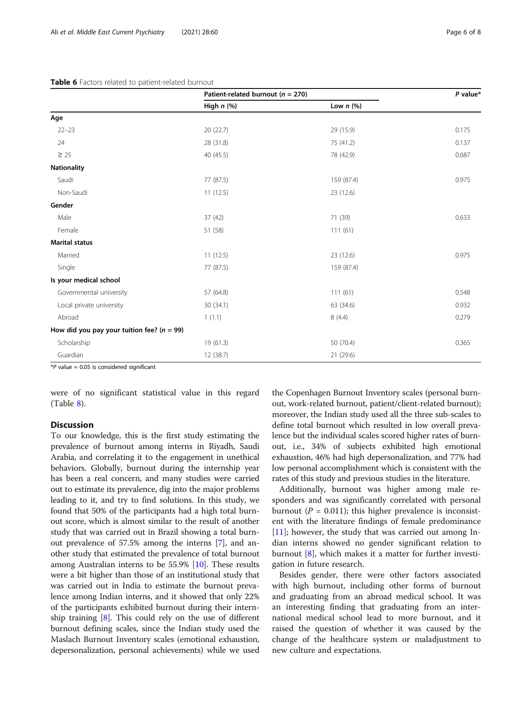#### <span id="page-5-0"></span>Table 6 Factors related to patient-related burnout

|                                              | Patient-related burnout ( $n = 270$ ) |             | P value <sup>*</sup> |
|----------------------------------------------|---------------------------------------|-------------|----------------------|
|                                              | High $n$ (%)                          | Low $n$ (%) |                      |
| Age                                          |                                       |             |                      |
| $22 - 23$                                    | 20 (22.7)                             | 29 (15.9)   | 0.175                |
| 24                                           | 28 (31.8)                             | 75 (41.2)   | 0.137                |
| $\geq$ 25                                    | 40 (45.5)                             | 78 (42.9)   | 0.687                |
| Nationality                                  |                                       |             |                      |
| Saudi                                        | 77 (87.5)                             | 159 (87.4)  | 0.975                |
| Non-Saudi                                    | 11(12.5)                              | 23 (12.6)   |                      |
| Gender                                       |                                       |             |                      |
| Male                                         | 37 (42)                               | 71 (39)     | 0.633                |
| Female                                       | 51 (58)                               | 111(61)     |                      |
| Marital status                               |                                       |             |                      |
| Married                                      | 11(12.5)                              | 23 (12.6)   | 0.975                |
| Single                                       | 77 (87.5)                             | 159 (87.4)  |                      |
| Is your medical school                       |                                       |             |                      |
| Governmental university                      | 57 (64.8)                             | 111(61)     | 0.548                |
| Local private university                     | 30 (34.1)                             | 63 (34.6)   | 0.932                |
| Abroad                                       | 1(1.1)                                | 8(4.4)      | 0.279                |
| How did you pay your tuition fee? $(n = 99)$ |                                       |             |                      |
| Scholarship                                  | 19 (61.3)                             | 50 (70.4)   | 0.365                |
| Guardian                                     | 12 (38.7)                             | 21 (29.6)   |                      |

 $*P$  value = 0.05 is considered significant

were of no significant statistical value in this regard (Table [8\)](#page-6-0).

# Discussion

To our knowledge, this is the first study estimating the prevalence of burnout among interns in Riyadh, Saudi Arabia, and correlating it to the engagement in unethical behaviors. Globally, burnout during the internship year has been a real concern, and many studies were carried out to estimate its prevalence, dig into the major problems leading to it, and try to find solutions. In this study, we found that 50% of the participants had a high total burnout score, which is almost similar to the result of another study that was carried out in Brazil showing a total burnout prevalence of 57.5% among the interns [\[7\]](#page-7-0), and another study that estimated the prevalence of total burnout among Australian interns to be 55.9% [\[10](#page-7-0)]. These results were a bit higher than those of an institutional study that was carried out in India to estimate the burnout prevalence among Indian interns, and it showed that only 22% of the participants exhibited burnout during their internship training [[8](#page-7-0)]. This could rely on the use of different burnout defining scales, since the Indian study used the Maslach Burnout Inventory scales (emotional exhaustion, depersonalization, personal achievements) while we used

the Copenhagen Burnout Inventory scales (personal burnout, work-related burnout, patient/client-related burnout); moreover, the Indian study used all the three sub-scales to define total burnout which resulted in low overall prevalence but the individual scales scored higher rates of burnout, i.e., 34% of subjects exhibited high emotional exhaustion, 46% had high depersonalization, and 77% had low personal accomplishment which is consistent with the rates of this study and previous studies in the literature.

Additionally, burnout was higher among male responders and was significantly correlated with personal burnout ( $P = 0.011$ ); this higher prevalence is inconsistent with the literature findings of female predominance  $[11]$  $[11]$ ; however, the study that was carried out among Indian interns showed no gender significant relation to burnout [\[8](#page-7-0)], which makes it a matter for further investigation in future research.

Besides gender, there were other factors associated with high burnout, including other forms of burnout and graduating from an abroad medical school. It was an interesting finding that graduating from an international medical school lead to more burnout, and it raised the question of whether it was caused by the change of the healthcare system or maladjustment to new culture and expectations.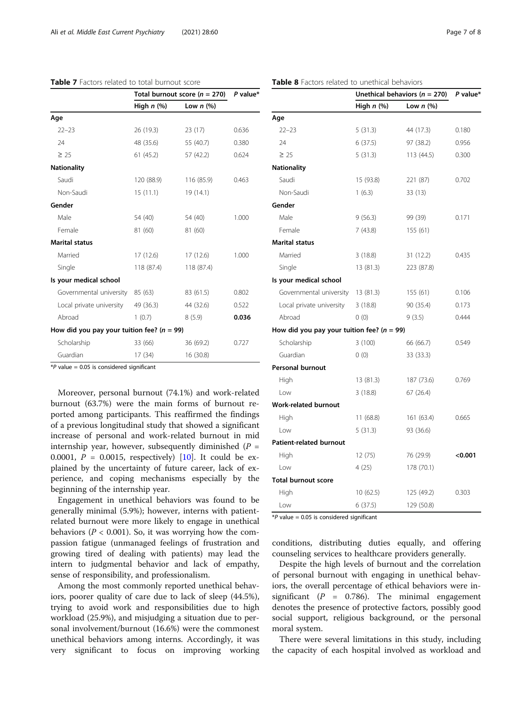| Total burnout score ( $n = 270$ )  |                | P value*                                       |
|------------------------------------|----------------|------------------------------------------------|
| High $n$ $(\%)$                    | Low $n$ $(\%)$ |                                                |
|                                    |                |                                                |
| 26 (19.3)                          | 23(17)         | 0.636                                          |
| 48 (35.6)                          | 55 (40.7)      | 0.380                                          |
| 61 (45.2)                          | 57 (42.2)      | 0.624                                          |
|                                    |                |                                                |
| 120 (88.9)                         | 116 (85.9)     | 0.463                                          |
| 15(11.1)                           | 19 (14.1)      |                                                |
|                                    |                |                                                |
| 54 (40)                            | 54 (40)        | 1.000                                          |
| 81 (60)                            | 81 (60)        |                                                |
|                                    |                |                                                |
| 17 (12.6)                          | 17 (12.6)      | 1.000                                          |
| 118 (87.4)                         | 118 (87.4)     |                                                |
|                                    |                |                                                |
| Governmental university<br>85 (63) | 83 (61.5)      | 0.802                                          |
| 49 (36.3)                          | 44 (32.6)      | 0.522                                          |
| 1(0.7)                             | 8(5.9)         | 0.036                                          |
|                                    |                |                                                |
| 33 (66)                            | 36(69.2)       | 0.727                                          |
| 17 (34)                            | 16(30.8)       |                                                |
|                                    |                | How did you pay your tuition fee? ( $n = 99$ ) |

<span id="page-6-0"></span>Table 7 Factors related to total burnout score

 $*P$  value = 0.05 is considered significant

Moreover, personal burnout (74.1%) and work-related burnout (63.7%) were the main forms of burnout reported among participants. This reaffirmed the findings of a previous longitudinal study that showed a significant increase of personal and work-related burnout in mid internship year, however, subsequently diminished ( $P =$ 0.0001,  $P = 0.0015$ , respectively) [\[10](#page-7-0)]. It could be explained by the uncertainty of future career, lack of experience, and coping mechanisms especially by the beginning of the internship year.

Engagement in unethical behaviors was found to be generally minimal (5.9%); however, interns with patientrelated burnout were more likely to engage in unethical behaviors ( $P < 0.001$ ). So, it was worrying how the compassion fatigue (unmanaged feelings of frustration and growing tired of dealing with patients) may lead the intern to judgmental behavior and lack of empathy, sense of responsibility, and professionalism.

Among the most commonly reported unethical behaviors, poorer quality of care due to lack of sleep (44.5%), trying to avoid work and responsibilities due to high workload (25.9%), and misjudging a situation due to personal involvement/burnout (16.6%) were the commonest unethical behaviors among interns. Accordingly, it was very significant to focus on improving working

|                                                | Unethical behaviors ( $n = 270$ ) |             | P value* |
|------------------------------------------------|-----------------------------------|-------------|----------|
|                                                | High $n$ (%)                      | Low $n$ (%) |          |
| Age                                            |                                   |             |          |
| $22 - 23$                                      | 5(31.3)                           | 44 (17.3)   | 0.180    |
| 24                                             | 6(37.5)                           | 97 (38.2)   | 0.956    |
| $\geq 25$                                      | 5(31.3)                           | 113 (44.5)  | 0.300    |
| Nationality                                    |                                   |             |          |
| Saudi                                          | 15 (93.8)                         | 221 (87)    | 0.702    |
| Non-Saudi                                      | 1(6.3)                            | 33 (13)     |          |
| Gender                                         |                                   |             |          |
| Male                                           | 9(56.3)                           | 99 (39)     | 0.171    |
| Female                                         | 7(43.8)                           | 155 (61)    |          |
| Marital status                                 |                                   |             |          |
| Married                                        | 3(18.8)                           | 31 (12.2)   | 0.435    |
| Single                                         | 13(81.3)                          | 223 (87.8)  |          |
| Is your medical school                         |                                   |             |          |
| Governmental university                        | 13(81.3)                          | 155 (61)    | 0.106    |
| Local private university                       | 3(18.8)                           | 90 (35.4)   | 0.173    |
| Abroad                                         | 0(0)                              | 9(3.5)      | 0.444    |
| How did you pay your tuition fee? ( $n = 99$ ) |                                   |             |          |
| Scholarship                                    | 3(100)                            | 66 (66.7)   | 0.549    |
| Guardian                                       | 0(0)                              | 33 (33.3)   |          |
| <b>Personal burnout</b>                        |                                   |             |          |
| High                                           | 13(81.3)                          | 187 (73.6)  | 0.769    |
| Low                                            | 3(18.8)                           | 67 (26.4)   |          |
| <b>Work-related burnout</b>                    |                                   |             |          |
| High                                           | 11(68.8)                          | 161(63.4)   | 0.665    |
| Low                                            | 5(31.3)                           | 93 (36.6)   |          |
| <b>Patient-related burnout</b>                 |                                   |             |          |
| High                                           | 12 (75)                           | 76 (29.9)   | <0.001   |
| Low                                            | 4 (25)                            | 178 (70.1)  |          |
| <b>Total burnout score</b>                     |                                   |             |          |
| High                                           | 10(62.5)                          | 125 (49.2)  | 0.303    |
| Low                                            | 6(37.5)                           | 129 (50.8)  |          |

 $*P$  value = 0.05 is considered significant

conditions, distributing duties equally, and offering counseling services to healthcare providers generally.

Despite the high levels of burnout and the correlation of personal burnout with engaging in unethical behaviors, the overall percentage of ethical behaviors were insignificant ( $P = 0.786$ ). The minimal engagement denotes the presence of protective factors, possibly good social support, religious background, or the personal moral system.

There were several limitations in this study, including the capacity of each hospital involved as workload and

#### Table 8 Factors related to unethical behaviors